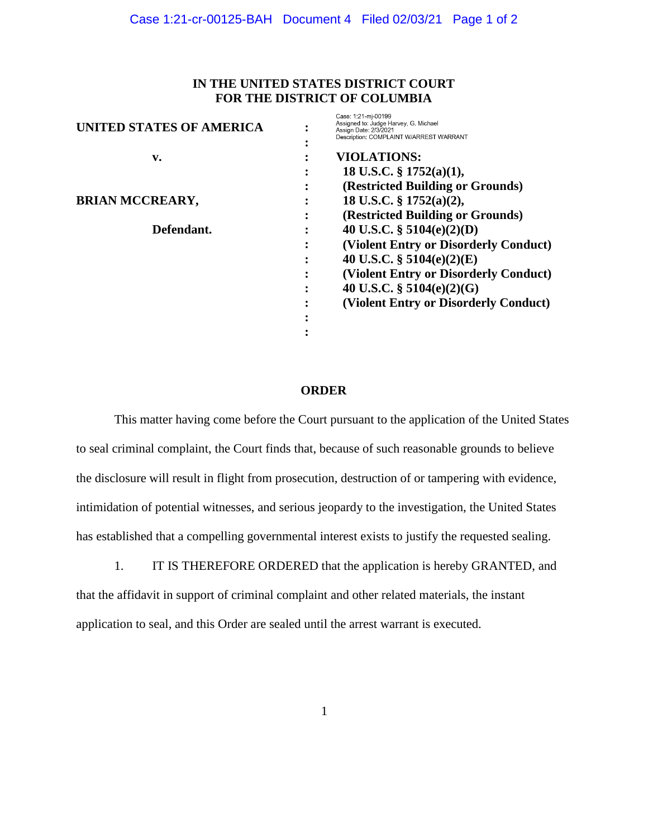## **IN THE UNITED STATES DISTRICT COURT FOR THE DISTRICT OF COLUMBIA**

| <b>UNITED STATES OF AMERICA</b> |                | Case: 1:21-mi-00199<br>Assigned to: Judge Harvey, G. Michael<br>Assign Date: 2/3/2021<br>Description: COMPLAINT W/ARREST WARRANT |
|---------------------------------|----------------|----------------------------------------------------------------------------------------------------------------------------------|
| v.                              |                | <b>VIOLATIONS:</b>                                                                                                               |
|                                 |                | 18 U.S.C. $\S$ 1752(a)(1),                                                                                                       |
|                                 | ٠              | (Restricted Building or Grounds)                                                                                                 |
| <b>BRIAN MCCREARY,</b>          |                | 18 U.S.C. § 1752(a)(2),                                                                                                          |
|                                 | ٠<br>$\bullet$ | (Restricted Building or Grounds)                                                                                                 |
| Defendant.                      |                | 40 U.S.C. $\S$ 5104(e)(2)(D)                                                                                                     |
|                                 |                | (Violent Entry or Disorderly Conduct)                                                                                            |
|                                 | ٠              | 40 U.S.C. $\S$ 5104(e)(2)(E)                                                                                                     |
|                                 |                | (Violent Entry or Disorderly Conduct)                                                                                            |
|                                 |                | 40 U.S.C. $\S$ 5104(e)(2)(G)                                                                                                     |
|                                 |                | (Violent Entry or Disorderly Conduct)                                                                                            |
|                                 |                |                                                                                                                                  |
|                                 |                |                                                                                                                                  |

## **ORDER**

This matter having come before the Court pursuant to the application of the United States to seal criminal complaint, the Court finds that, because of such reasonable grounds to believe the disclosure will result in flight from prosecution, destruction of or tampering with evidence, intimidation of potential witnesses, and serious jeopardy to the investigation, the United States has established that a compelling governmental interest exists to justify the requested sealing.

1. IT IS THEREFORE ORDERED that the application is hereby GRANTED, and that the affidavit in support of criminal complaint and other related materials, the instant application to seal, and this Order are sealed until the arrest warrant is executed.